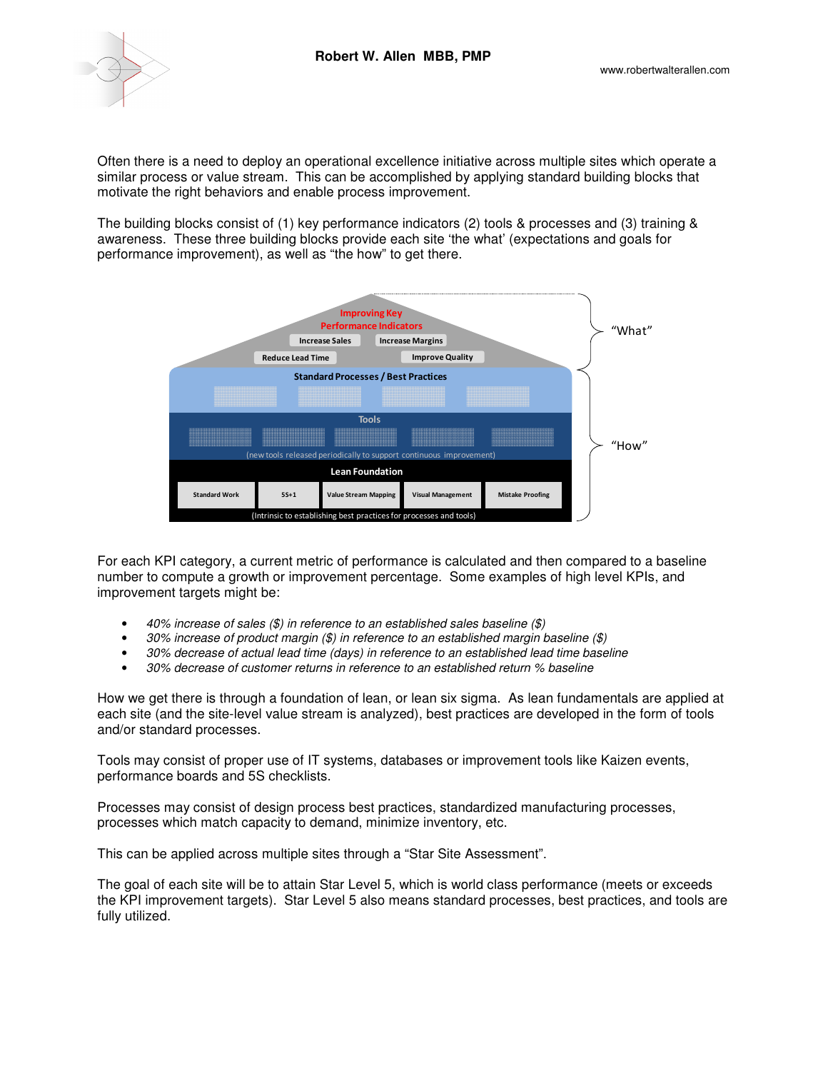

Often there is a need to deploy an operational excellence initiative across multiple sites which operate a similar process or value stream. This can be accomplished by applying standard building blocks that motivate the right behaviors and enable process improvement.

The building blocks consist of (1) key performance indicators (2) tools & processes and (3) training & awareness. These three building blocks provide each site 'the what' (expectations and goals for performance improvement), as well as "the how" to get there.



For each KPI category, a current metric of performance is calculated and then compared to a baseline number to compute a growth or improvement percentage. Some examples of high level KPIs, and improvement targets might be:

- 40% increase of sales (\$) in reference to an established sales baseline (\$)
- 30% increase of product margin (\$) in reference to an established margin baseline (\$)
- 30% decrease of actual lead time (days) in reference to an established lead time baseline
- 30% decrease of customer returns in reference to an established return % baseline

How we get there is through a foundation of lean, or lean six sigma. As lean fundamentals are applied at each site (and the site-level value stream is analyzed), best practices are developed in the form of tools and/or standard processes.

Tools may consist of proper use of IT systems, databases or improvement tools like Kaizen events, performance boards and 5S checklists.

Processes may consist of design process best practices, standardized manufacturing processes, processes which match capacity to demand, minimize inventory, etc.

This can be applied across multiple sites through a "Star Site Assessment".

The goal of each site will be to attain Star Level 5, which is world class performance (meets or exceeds the KPI improvement targets). Star Level 5 also means standard processes, best practices, and tools are fully utilized.